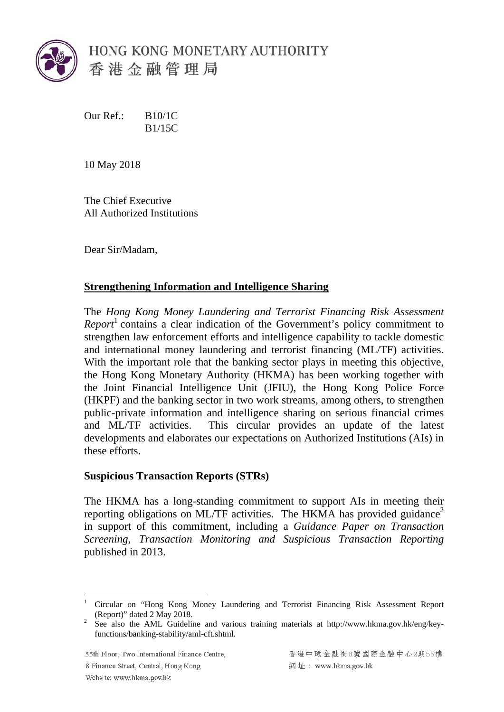

Our Ref.: B10/1C B1/15C

10 May 2018

The Chief Executive All Authorized Institutions

Dear Sir/Madam,

## **Strengthening Information and Intelligence Sharing**

The *Hong Kong Money Laundering and Terrorist Financing Risk Assessment Report*<sup>1</sup> contains a clear indication of the Government's policy commitment to strengthen law enforcement efforts and intelligence capability to tackle domestic and international money laundering and terrorist financing (ML/TF) activities. With the important role that the banking sector plays in meeting this objective, the Hong Kong Monetary Authority (HKMA) has been working together with the Joint Financial Intelligence Unit (JFIU), the Hong Kong Police Force (HKPF) and the banking sector in two work streams, among others, to strengthen public-private information and intelligence sharing on serious financial crimes and ML/TF activities. This circular provides an update of the latest developments and elaborates our expectations on Authorized Institutions (AIs) in these efforts.

## **Suspicious Transaction Reports (STRs)**

The HKMA has a long-standing commitment to support AIs in meeting their reporting obligations on ML/TF activities. The HKMA has provided guidance<sup>2</sup> in support of this commitment, including a *Guidance Paper on Transaction Screening, Transaction Monitoring and Suspicious Transaction Reporting*  published in 2013.

55th Floor, Two International Finance Centre,

8 Finance Street, Central, Hong Kong

香港中環金融街8號國際金融中心2期55樓 網址: www.hkma.gov.hk

<sup>1</sup> (Report)" dated 2 May 2018. 1 Circular on "Hong Kong Money Laundering and Terrorist Financing Risk Assessment Report

<sup>(</sup>Report)" dated 2 May 2018.<br><sup>2</sup> See also the AML Guideline and various training materials at http://www.hkma.gov.hk/eng/keyfunctions/banking-stability/aml-cft.shtml.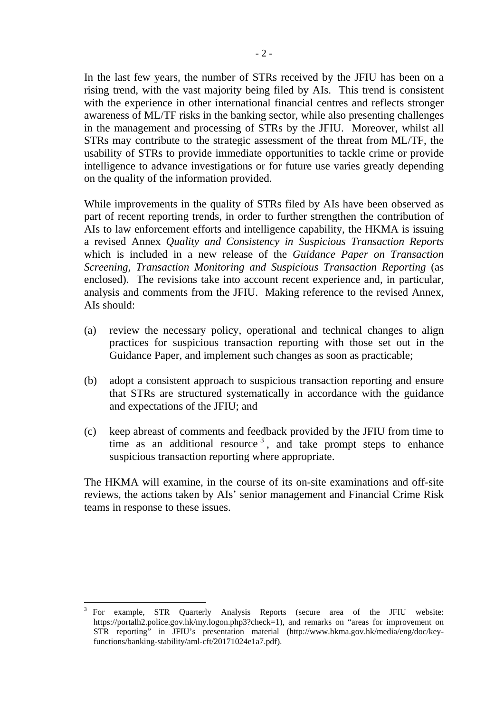In the last few years, the number of STRs received by the JFIU has been on a rising trend, with the vast majority being filed by AIs. This trend is consistent with the experience in other international financial centres and reflects stronger awareness of ML/TF risks in the banking sector, while also presenting challenges in the management and processing of STRs by the JFIU. Moreover, whilst all STRs may contribute to the strategic assessment of the threat from ML/TF, the usability of STRs to provide immediate opportunities to tackle crime or provide intelligence to advance investigations or for future use varies greatly depending on the quality of the information provided.

While improvements in the quality of STRs filed by AIs have been observed as part of recent reporting trends, in order to further strengthen the contribution of AIs to law enforcement efforts and intelligence capability, the HKMA is issuing a revised Annex *Quality and Consistency in Suspicious Transaction Reports*  which is included in a new release of the *Guidance Paper on Transaction Screening, Transaction Monitoring and Suspicious Transaction Reporting* (as enclosed). The revisions take into account recent experience and, in particular, analysis and comments from the JFIU. Making reference to the revised Annex, AIs should:

- (a) review the necessary policy, operational and technical changes to align practices for suspicious transaction reporting with those set out in the Guidance Paper, and implement such changes as soon as practicable;
- (b) adopt a consistent approach to suspicious transaction reporting and ensure that STRs are structured systematically in accordance with the guidance and expectations of the JFIU; and
- (c) keep abreast of comments and feedback provided by the JFIU from time to time as an additional resource<sup>3</sup>, and take prompt steps to enhance suspicious transaction reporting where appropriate.

The HKMA will examine, in the course of its on-site examinations and off-site reviews, the actions taken by AIs' senior management and Financial Crime Risk teams in response to these issues.

1

 $3$  For example, STR Quarterly Analysis Reports (secure area of the JFIU website: https://portalh2.police.gov.hk/my.logon.php3?check=1), and remarks on "areas for improvement on STR reporting" in JFIU's presentation material (http://www.hkma.gov.hk/media/eng/doc/keyfunctions/banking-stability/aml-cft/20171024e1a7.pdf).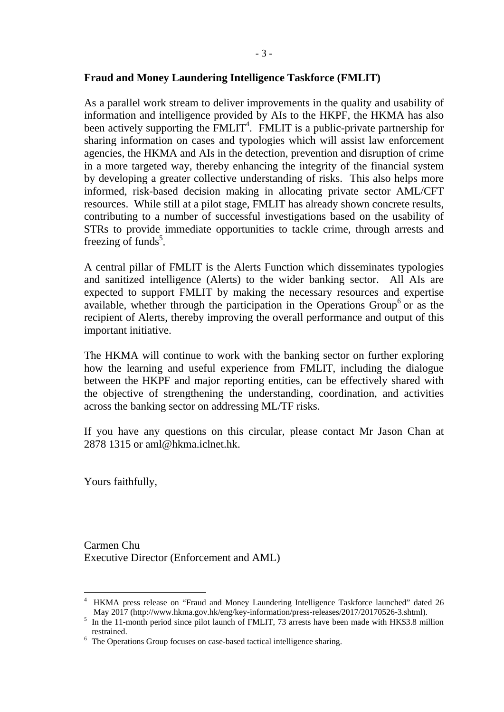## **Fraud and Money Laundering Intelligence Taskforce (FMLIT)**

As a parallel work stream to deliver improvements in the quality and usability of information and intelligence provided by AIs to the HKPF, the HKMA has also been actively supporting the  $\overline{FMLIT}^4$ . FMLIT is a public-private partnership for sharing information on cases and typologies which will assist law enforcement agencies, the HKMA and AIs in the detection, prevention and disruption of crime in a more targeted way, thereby enhancing the integrity of the financial system by developing a greater collective understanding of risks. This also helps more informed, risk-based decision making in allocating private sector AML/CFT resources. While still at a pilot stage, FMLIT has already shown concrete results, contributing to a number of successful investigations based on the usability of STRs to provide immediate opportunities to tackle crime, through arrests and freezing of funds<sup>5</sup>.

A central pillar of FMLIT is the Alerts Function which disseminates typologies and sanitized intelligence (Alerts) to the wider banking sector. All AIs are expected to support FMLIT by making the necessary resources and expertise available, whether through the participation in the Operations Group<sup>6</sup> or as the recipient of Alerts, thereby improving the overall performance and output of this important initiative.

The HKMA will continue to work with the banking sector on further exploring how the learning and useful experience from FMLIT, including the dialogue between the HKPF and major reporting entities, can be effectively shared with the objective of strengthening the understanding, coordination, and activities across the banking sector on addressing ML/TF risks.

If you have any questions on this circular, please contact Mr Jason Chan at 2878 1315 or aml@hkma.iclnet.hk.

Yours faithfully,

1

Carmen Chu Executive Director (Enforcement and AML)

<sup>&</sup>lt;sup>4</sup> HKMA press release on "Fraud and Money Laundering Intelligence Taskforce launched" dated 26

May 2017 (http://www.hkma.gov.hk/eng/key-information/press-releases/2017/20170526-3.shtml).<br><sup>5</sup> In the 11-month period since pilot launch of FMLIT, 73 arrests have been made with HK\$3.8 million restrained.<br><sup>6</sup> The Operations Group focuses on case-based tactical intelligence sharing.